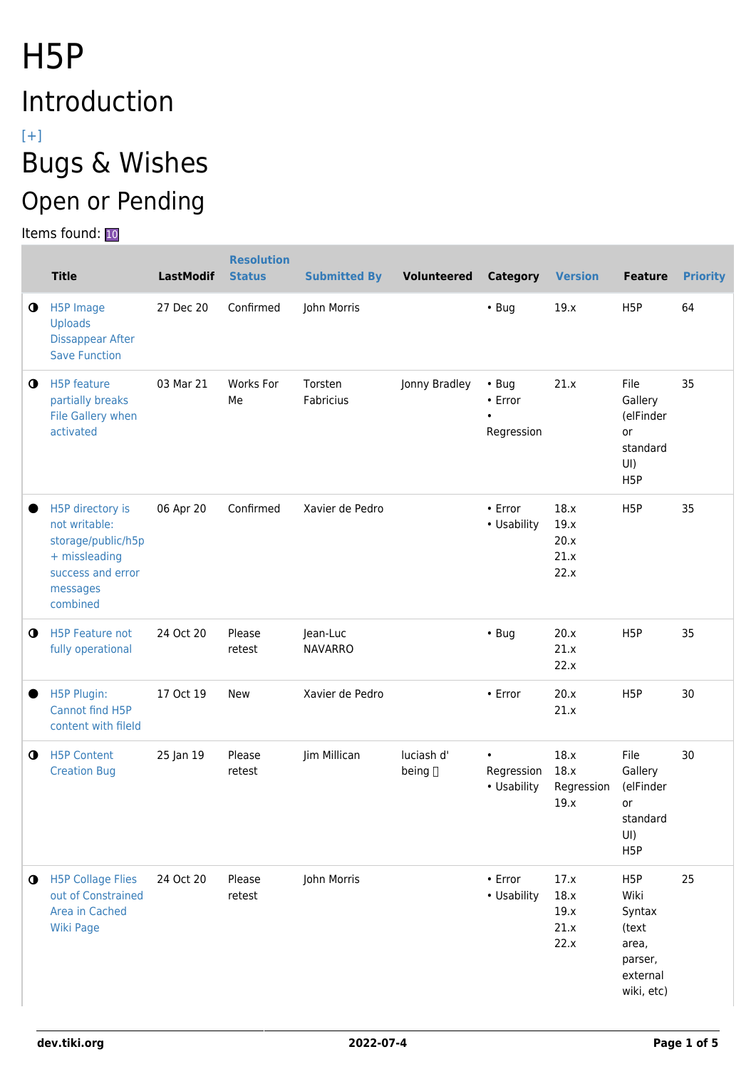# H5P Introduction  $[+]$ Bugs & Wishes

# Open or Pending

Items found: 10

|             | <b>Title</b>                                                                                                          | <b>LastModif</b> | <b>Resolution</b><br><b>Status</b> | <b>Submitted By</b>        | Volunteered            | <b>Category</b>                                   | <b>Version</b>                       | <b>Feature</b>                                                                            | <b>Priority</b> |
|-------------|-----------------------------------------------------------------------------------------------------------------------|------------------|------------------------------------|----------------------------|------------------------|---------------------------------------------------|--------------------------------------|-------------------------------------------------------------------------------------------|-----------------|
| $\mathbf 0$ | H5P Image<br><b>Uploads</b><br><b>Dissappear After</b><br><b>Save Function</b>                                        | 27 Dec 20        | Confirmed                          | John Morris                |                        | $\cdot$ Bug                                       | 19.x                                 | H <sub>5</sub> P                                                                          | 64              |
| $\mathbf 0$ | H5P feature<br>partially breaks<br>File Gallery when<br>activated                                                     | 03 Mar 21        | Works For<br>Me                    | Torsten<br>Fabricius       | Jonny Bradley          | $\cdot$ Bug<br>• Error<br>$\bullet$<br>Regression | 21.x                                 | File<br>Gallery<br>(elFinder<br>or<br>standard<br>UI)<br>H <sub>5</sub> P                 | 35              |
|             | H5P directory is<br>not writable:<br>storage/public/h5p<br>+ missleading<br>success and error<br>messages<br>combined | 06 Apr 20        | Confirmed                          | Xavier de Pedro            |                        | • Error<br>• Usability                            | 18.x<br>19.x<br>20.x<br>21.x<br>22.x | H <sub>5</sub> P                                                                          | 35              |
| $\mathbf o$ | H5P Feature not<br>fully operational                                                                                  | 24 Oct 20        | Please<br>retest                   | Jean-Luc<br><b>NAVARRO</b> |                        | $\cdot$ Bug                                       | 20.x<br>21.x<br>22.x                 | H <sub>5</sub> P                                                                          | 35              |
|             | H5P Plugin:<br>Cannot find H5P<br>content with fileld                                                                 | 17 Oct 19        | New                                | Xavier de Pedro            |                        | • Error                                           | 20.x<br>21.x                         | H <sub>5</sub> P                                                                          | 30              |
| $\mathbf 0$ | <b>H5P Content</b><br><b>Creation Bug</b>                                                                             | 25 Jan 19        | Please<br>retest                   | Jim Millican               | luciash d'<br>being [] | $\bullet$<br>Regression<br>• Usability            | 18.x<br>18.x<br>Regression<br>19.x   | File<br>Gallery<br>(elFinder<br>or<br>standard<br>UI)<br>H <sub>5</sub> P                 | 30              |
| $\bullet$   | <b>H5P Collage Flies</b><br>out of Constrained<br>Area in Cached<br><b>Wiki Page</b>                                  | 24 Oct 20        | Please<br>retest                   | John Morris                |                        | • Error<br>• Usability                            | 17.x<br>18.x<br>19.x<br>21.x<br>22.x | H <sub>5</sub> P<br>Wiki<br>Syntax<br>(text<br>area,<br>parser,<br>external<br>wiki, etc) | 25              |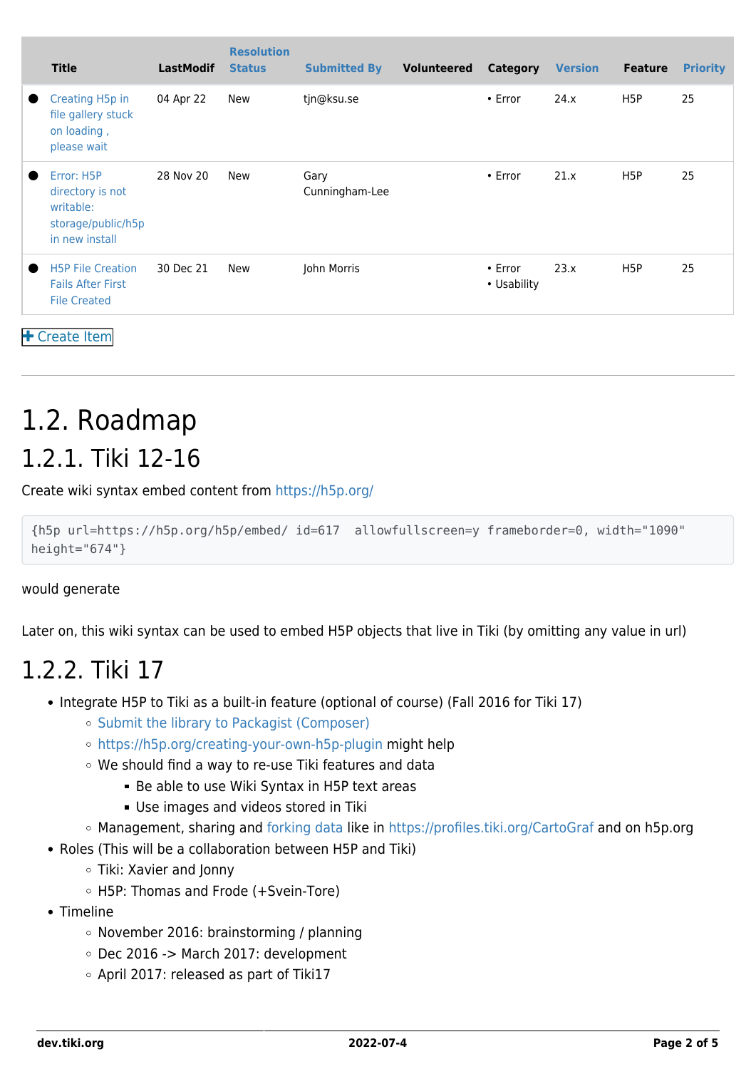|           | <b>Title</b>                                                                        | <b>LastModif</b> | <b>Resolution</b><br><b>Status</b> | <b>Submitted By</b>    | <b>Volunteered</b> | Category                     | <b>Version</b> | <b>Feature</b>   | <b>Priority</b> |
|-----------|-------------------------------------------------------------------------------------|------------------|------------------------------------|------------------------|--------------------|------------------------------|----------------|------------------|-----------------|
| $\bullet$ | Creating H5p in<br>file gallery stuck<br>on loading,<br>please wait                 | 04 Apr 22        | New                                | tjn@ksu.se             |                    | $\cdot$ Error                | 24.x           | H <sub>5</sub> P | 25              |
|           | Error: H5P<br>directory is not<br>writable:<br>storage/public/h5p<br>in new install | 28 Nov 20        | New                                | Gary<br>Cunningham-Lee |                    | $\cdot$ Error                | 21.x           | H <sub>5</sub> P | 25              |
|           | <b>H5P File Creation</b><br><b>Fails After First</b><br><b>File Created</b>         | 30 Dec 21        | New                                | John Morris            |                    | $\cdot$ Error<br>• Usability | 23.x           | H <sub>5</sub> P | 25              |

**+** [Create Item](https://dev.tiki.org/Make+a+wish)

# 1.2. Roadmap 1.2.1. Tiki 12-16

Create wiki syntax embed content from <https://h5p.org/>

```
{h5p url=https://h5p.org/h5p/embed/ id=617 allowfullscreen=y frameborder=0, width="1090"
height="674"}
```
#### would generate

Later on, this wiki syntax can be used to embed H5P objects that live in Tiki (by omitting any value in url)

## 1.2.2. Tiki 17

- Integrate H5P to Tiki as a built-in feature (optional of course) (Fall 2016 for Tiki 17)
	- o [Submit the library to Packagist \(Composer\)](https://github.com/h5p/h5p-php-library/issues/8)
	- <https://h5p.org/creating-your-own-h5p-plugin>might help
	- We should find a way to re-use Tiki features and data
		- Be able to use Wiki Syntax in H5P text areas
		- Use images and videos stored in Tiki
	- Management, sharing and [forking data](https://dev.tiki.org/Forking-data) like in<https://profiles.tiki.org/CartoGraf>and on h5p.org
- Roles (This will be a collaboration between H5P and Tiki)
	- Tiki: Xavier and Jonny
	- H5P: Thomas and Frode (+Svein-Tore)
- Timeline
	- November 2016: brainstorming / planning
	- Dec 2016 -> March 2017: development
	- o April 2017: released as part of Tiki17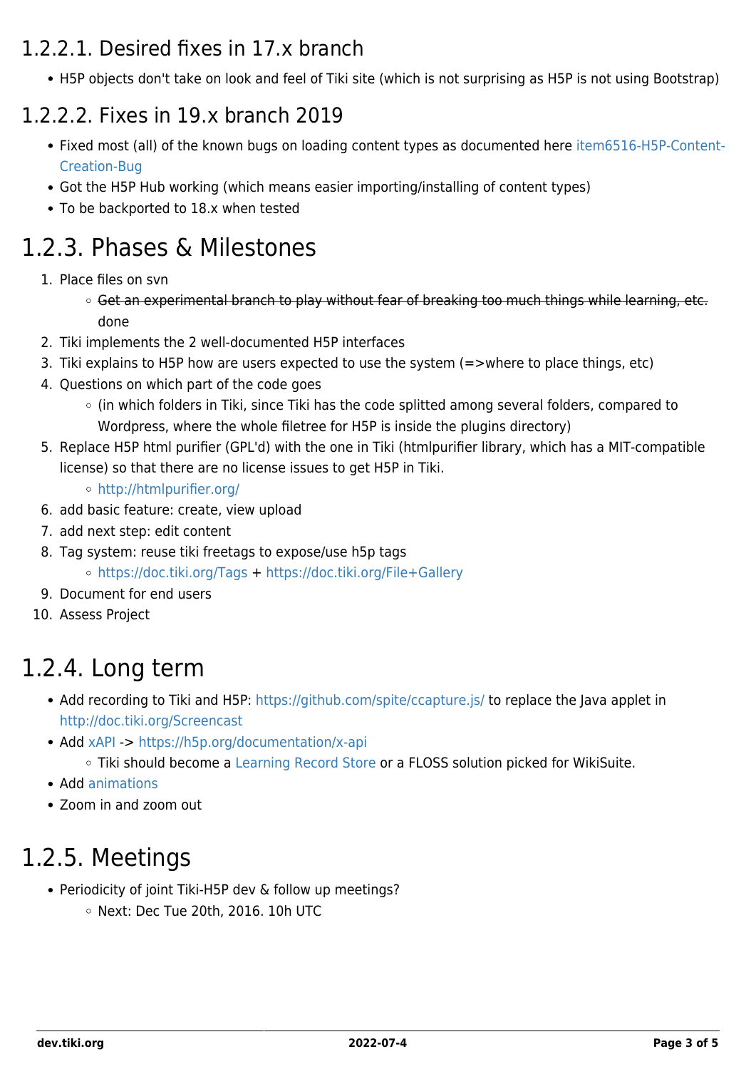### 1.2.2.1. Desired fixes in 17.x branch

H5P objects don't take on look and feel of Tiki site (which is not surprising as H5P is not using Bootstrap)

## 1.2.2.2. Fixes in 19.x branch 2019

- Fixed most (all) of the known bugs on loading content types as documented here [item6516-H5P-Content-](https://dev.tiki.org/item6516-H5P-Content-Creation-Bug)[Creation-Bug](https://dev.tiki.org/item6516-H5P-Content-Creation-Bug)
- Got the H5P Hub working (which means easier importing/installing of content types)
- To be backported to 18.x when tested

## 1.2.3. Phases & Milestones

- 1. Place files on svn
	- o Get an experimental branch to play without fear of breaking too much things while learning, etc. done
- 2. Tiki implements the 2 well-documented H5P interfaces
- 3. Tiki explains to H5P how are users expected to use the system (=>where to place things, etc)
- 4. Questions on which part of the code goes
	- (in which folders in Tiki, since Tiki has the code splitted among several folders, compared to Wordpress, where the whole filetree for H5P is inside the plugins directory)
- 5. Replace H5P html purifier (GPL'd) with the one in Tiki (htmlpurifier library, which has a MIT-compatible license) so that there are no license issues to get H5P in Tiki.
	- <http://htmlpurifier.org/>
- 6. add basic feature: create, view upload
- 7. add next step: edit content
- 8. Tag system: reuse tiki freetags to expose/use h5p tags
	- <https://doc.tiki.org/Tags> + <https://doc.tiki.org/File+Gallery>
- 9. Document for end users
- 10. Assess Project

## 1.2.4. Long term

- Add recording to Tiki and H5P:<https://github.com/spite/ccapture.js/>to replace the Java applet in <http://doc.tiki.org/Screencast>
- Add [xAPI](https://dev.tiki.org/Experience-API-xAPI) -><https://h5p.org/documentation/x-api>
	- Tiki should become a [Learning Record Store](https://dev.tiki.org/Learning-Record-Store) or a FLOSS solution picked for WikiSuite.
- Add [animations](https://dev.tiki.org/Animations)
- Zoom in and zoom out

## 1.2.5. Meetings

- Periodicity of joint Tiki-H5P dev & follow up meetings?
	- Next: Dec Tue 20th, 2016. 10h UTC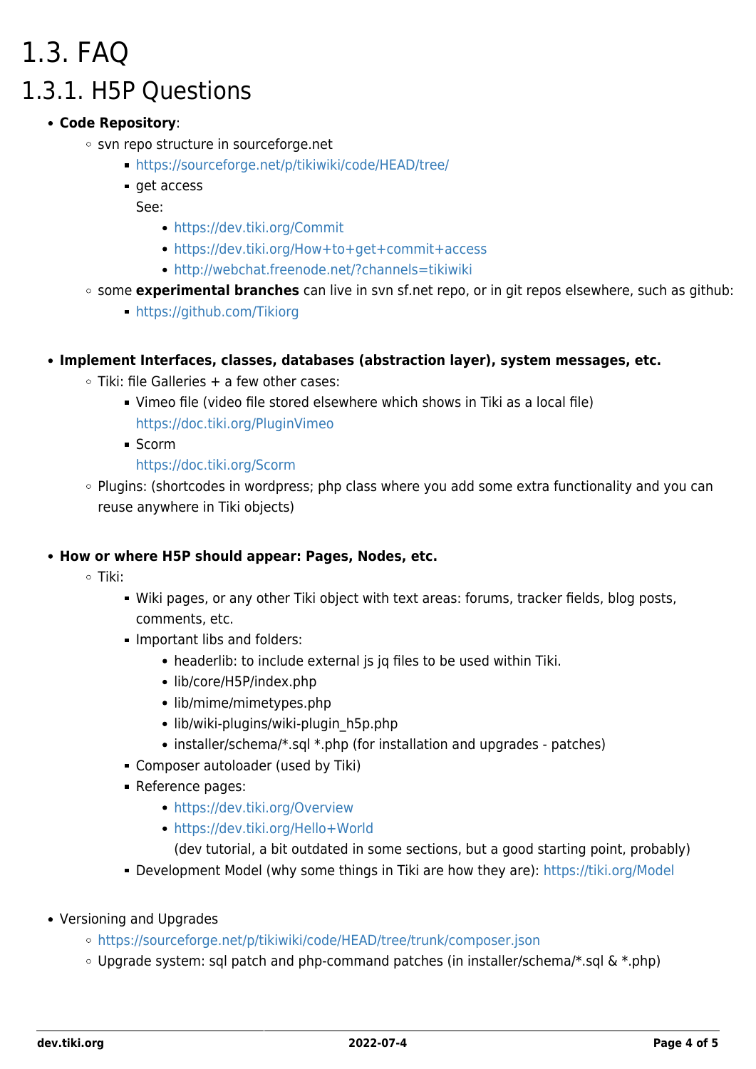# 1.3. FAQ 1.3.1. H5P Questions

#### **Code Repository**:

- o svn repo structure in sourceforge.net
	- <https://sourceforge.net/p/tikiwiki/code/HEAD/tree/>
	- qet access

See:

- <https://dev.tiki.org/Commit>
- <https://dev.tiki.org/How+to+get+commit+access>
- <http://webchat.freenode.net/?channels=tikiwiki>
- some **experimental branches** can live in svn sf.net repo, or in git repos elsewhere, such as github:
	- <https://github.com/Tikiorg>

#### **Implement Interfaces, classes, databases (abstraction layer), system messages, etc.**

- $\circ$  Tiki: file Galleries + a few other cases:
	- Vimeo file (video file stored elsewhere which shows in Tiki as a local file) <https://doc.tiki.org/PluginVimeo>
	- **Scorm**

<https://doc.tiki.org/Scorm>

○ Plugins: (shortcodes in wordpress; php class where you add some extra functionality and you can reuse anywhere in Tiki objects)

#### **How or where H5P should appear: Pages, Nodes, etc.**

- o Tiki:
	- Wiki pages, or any other Tiki object with text areas: forums, tracker fields, blog posts, comments, etc.
	- **Important libs and folders:** 
		- headerlib: to include external js jq files to be used within Tiki.
		- lib/core/H5P/index.php
		- lib/mime/mimetypes.php
		- lib/wiki-plugins/wiki-plugin\_h5p.php
		- installer/schema/\*.sql \*.php (for installation and upgrades patches)
	- Composer autoloader (used by Tiki)
	- Reference pages:
		- <https://dev.tiki.org/Overview>
		- <https://dev.tiki.org/Hello+World>
			- (dev tutorial, a bit outdated in some sections, but a good starting point, probably)
	- Development Model (why some things in Tiki are how they are):<https://tiki.org/Model>
- Versioning and Upgrades
	- <https://sourceforge.net/p/tikiwiki/code/HEAD/tree/trunk/composer.json>
	- $\circ$  Upgrade system: sql patch and php-command patches (in installer/schema/\*.sql & \*.php)